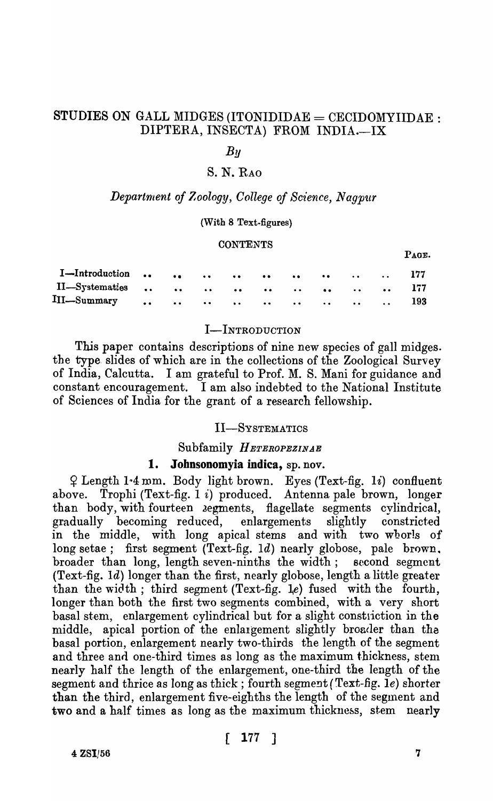# STUDIES ON GALL MIDGES (ITONIDIDAE = CECIDOMYIIDAE : DIPTERA, INSECTA) FROM INDIA.-IX

# $By$

# S. N. RAO

### *Department of Zoology, College of Science, Nagpur*

#### (With 8 Text-figures)

#### **CONTENTS**

| II—Systematics         177 |  |  |  |  |  |
|----------------------------|--|--|--|--|--|
|                            |  |  |  |  |  |

#### I-INTRODUCTION

This paper contains descriptions of nine new species of gall midges. the type slides of which are in the collections of the Zoological Survey of India, Calcutta. I am grateful to Prof. M. S. Mani for guidance and constant encouragement. I am also indebted to the National Institute of Sciences of India for the grant of a research fellowship.

### II-SYSTEMATICS

Subfamily *HETEROPEZINAE* 

# 1. Johnsonomyia indica, sp. nov.

 $\varphi$  Length 1.4 mm. Body light brown. Eyes (Text-fig. 1i) confluent above. Trophi (Text-fig. 1 i) produced. Antenna pale brown, longer than body, with fourteen segments, flagellate segments cylindrical, gradually becoming reduced, enlargements slightly constricted in the middle, with long apical stems and with two wborls of long setae; first segment (Text-fig. 1d) nearly globose, pale brown, broader than long, length seven-ninths the width; second segment (Text-fig. Id) longer than the first, nearly globose, length a little greater than the width; third segment (Text-fig.  $l.e$ ) fused with the fourth, longer than both the first two segments combined, with a very short basal stem, enlargement cylindrical but for a slight constriction in the middle, apical portion of the enlargement slightly broader than the basal portion, enlargement nearly two-thirds the length of the segment and three and one-third times as long as the maximum thickness, stem nearly half the length of the enlargement, one-third the length of the segment and thrice as long as thick; fourth segment (Text-fig.  $1e$ ) shorter than the third, enlargement five-eighths the length of the segment and two and a half times as long as the maximum thickness, stem nearly

 $4 \text{ ZSI}/56$  7

PAGE.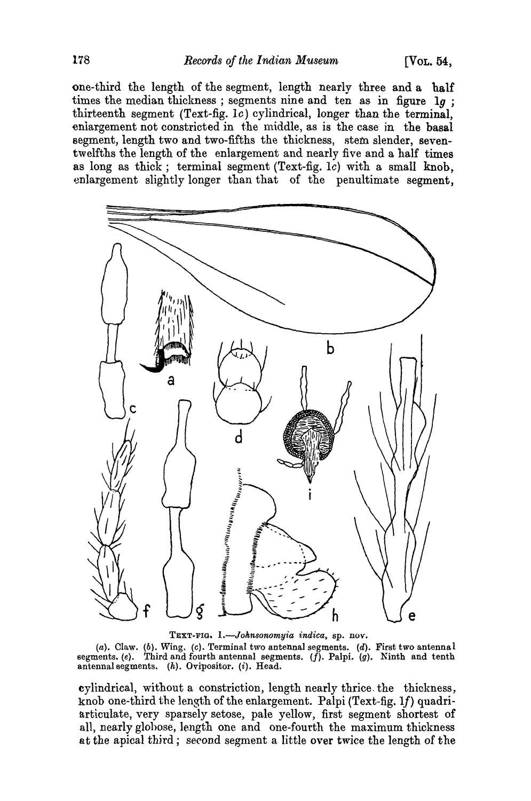one-third the length of the segment, length nearly three and a half times the median thickness; segments nine and ten as in figure 1g; thirteenth segment (Text-fig. *Ie)* cylindrical, longer than the terminal, enlargement not constricted in the middle, as is the case in the basal segment, length two and two-fifths the thickness, stem slender, seventwelfths the length of the enlargement and nearly five and a half times as long as thick; terminal segment (Text-fig. Ie) with a small knob, enlargement slightly longer than that of the penultimate segment.



TEXT-FIG. *L-Johnsonomyia indica,* sp. nov.

 $(a)$ . Claw.  $(b)$ . Wing.  $(c)$ . Terminal two antennal segments.  $(d)$ . First two antennal segments. (e). Third and fourth antennal segments.  $(f)$ . Palpi. (g). Ninth and tenth antennal segments. (h). Ovipositor. (i). Head.

cylindrical, without a constriction, length nearly thrice. the thickness, knob one-third the length of the enlargement. Palpi (Text-fig. 1f) quadriarticulate, very sparsely setose, pale yellow,. first segment shortest of all, nearly glohose, length one and one-fourth the maximum thickness at the apical third; second segment a little over twice the length of the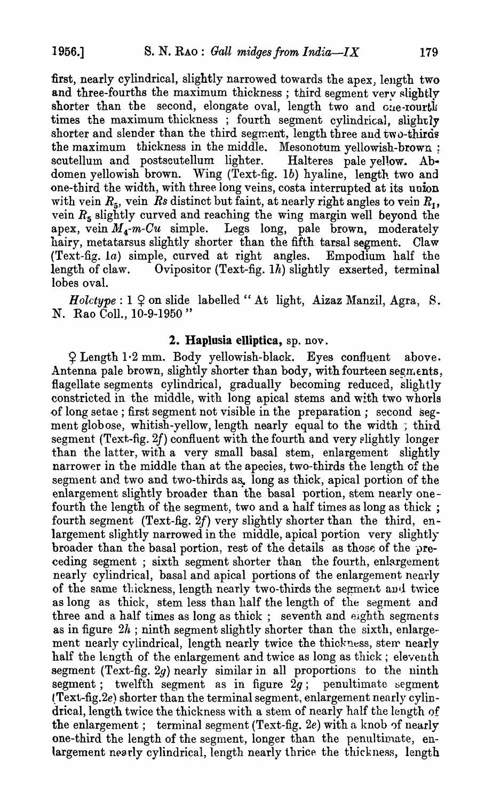first, nearly cylindrical, slightly narrowed towards the apex, length two and three-fourths the maximum thickness; third segment very slightly shorter than the second, elongate oval, length two and Gue-rourtly times the maximum thickness; fourth segment cylindrical, slightly shorter and slender than the third segment, length three and two-thirds the maximum thickness in the middle. Mesonotum yellowish-brown : scutellum and postscutellum lighter. Halteres pale yellow. Abdomen yellowish brown. Wing (Text-fig. *1b)* hyaline, length two and one-third the width, with three long veins, costa interrupted at its union with vein  $R_5$ , vein  $R_5$  distinct but faint, at nearly right angles to vein  $R_1$ , vein  $R<sub>5</sub>$  slightly curved and reaching the wing margin well beyond the apex, vein  $M_4$ -m-Cu simple. Legs long, pale brown, moderately hairy, metatarsus slightly shorter than the fifth tarsal segment. Claw hairy, metatarsus slightly shorter than the fifth tarsal segment. (Text-fig. la) simple, curved at right angles. Empodium half the length of claw. Ovipositor (Text-fig. *Ih)* slightly exserted, terminal lobes oval.

 $Holtype: 1 \nsubseteq$  on slide labelled "At light, Aizaz Manzil, Agra, S. N. Rao ColI., 10-9-1950 "

# 2. Haplusia elliptica, sp. nov.

 $Q$  Length 1.2 mm. Body yellowish-black. Eyes confluent above. Antenna pale brown, slightly shorter than body, with fourteen segments, flagellate segments cylindrical, gradually becoming reduced, slightly constricted in the middle, with long apical stems and with two whorls {)f long setae; first segment not visible in the preparation; second segment globose, whitish-yellow, length nearly equal to the width; third segment (Text-fig. 2f) confluent with the fourth and very elightly longer than the latter, with a very small basal stem, enlargement slightly narrower in the middle than at the apecies, two-thirds the length of the segment and two and two-thirds as, long as thick, apical portion of the enlargement slightly broader than the basal portion, stem nearly onefourth the length of the segment, two and a half times as long as thick ; fourth segment (Text-fig. *2f)* very slightly shorter than the third, enlargement slightly narrowed in the middle, apical portion very slightly broader than the basal portion, rest of the details as those of the preceding segment; sixth segment shorter than the fourth, enlargement nearly cylindrical, basal and apical portions of the enlargement nearly of the same thickness, length nearly two-thirds the segment and twice as long as thick, stem less than half the length of the segment and three and a half times as long as thick; seventh and eighth segments as in figure  $2h$ ; ninth segment slightly shorter than the sixth, enlargement nearly cylindrical, length nearly twice the thickness, sterr nearly half the length of the enlargement and twice as long as thick; eleventh segment (Text-fig. 2g) nearly similar in all proportions to the ninth segment; twelfth segment as in figure  $2q$ ; penultimate segment (Text-fig.2e) shorter than the terminal segment, enlargement nearly cylindrical, length twice the thickness with a stem of nearly half the length of the enlargement; terminal segment (Text-fig. 2e) with a knob of nearly one-third the length of the segment, longer than the penultimate, enlargement nearly cylindrical, length nearly thrice the thickness, length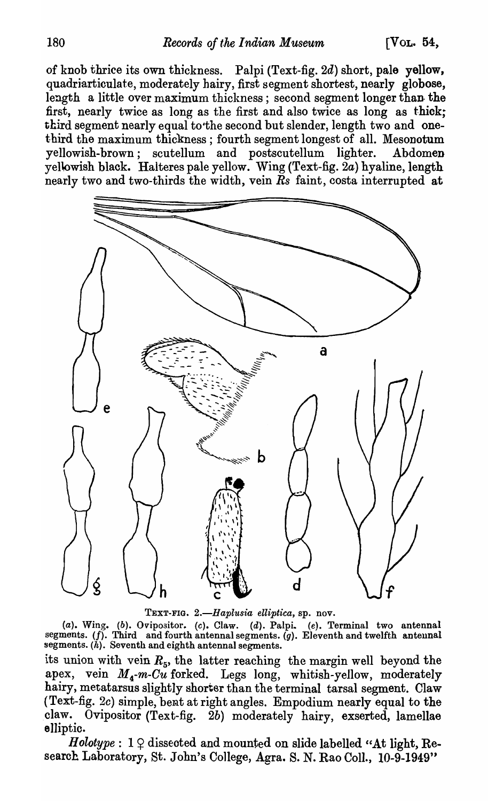of knob thrice its own thickness. Palpi (Text-fig. 2d) short, pale yellow, quadriarticulate, moderately hairy, first segment shortest, nearly globose, length a little over maximum thickness; second segment longer than- the first, nearly twice as long as the first and also twice as long as thick; third segment nearly equal to'the second but slender, length two and onethird the maximum thickness; fourth segment longest of all. Mesonotum yellowish-brown; scutellum and postscutellum lighter. Abdomen yellowish black. Halteres pale yellow. Wing (Text-fig. *2a)* hyaline, length nearly two and two-thirds the width, vein *Rs* faint, costa interrupted at



TEXT-FIG. 2.-Haplusia elliptica, sp. nov.

(a). Wing. (b). Ovipositor. (c). Claw. (d). Palpi. (e). Terminal two antennal segments.  $(f)$ . Third and fourth antennal segments.  $(g)$ . Eleventh and twelfth antennal segments.  $(h)$ . Seventh and eighth antennal segments.

its union with vein  $R_5$ , the latter reaching the margin well beyond the apex, vein  $M_{\lambda}$ -m-Cu forked. Legs long, whitish-yellow, moderately hairy, metatarsus slightly shortsr than the terminal tarsal segment. Claw (Text-fig. 2c) simple, bent at right angles. Empodium nearly equal to the claw. Ovipositor (Text-fig.  $2b$ ) moderately hairy, exserted, lamellae elliptic.

 $Holype: 1 Q$  dissected and mounted on slide labelled "At light, Research Laboratory, St. John's College, Agra. S. N. Rao Coll., 10-9-1949"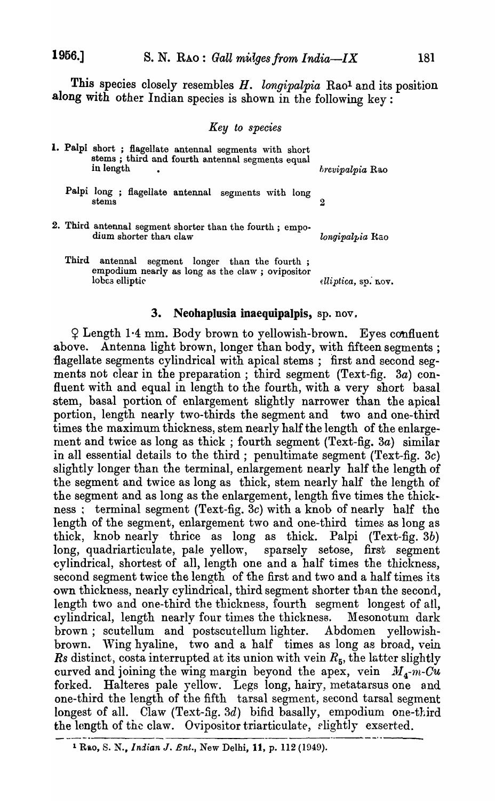This species closely resembles *H. longipalpia* Rao<sup>1</sup> and its position along with other Indian species is shown in the following key:

#### *Key to species*

|       | 1. Palpi short ; flagellate antennal segments with short<br>stems; third and fourth antennal segments equal<br>in length | <i>hrevipalpia</i> Rao |
|-------|--------------------------------------------------------------------------------------------------------------------------|------------------------|
|       | Palpi long; flagellate antennal segments with long<br>stems                                                              |                        |
|       | 2. Third antennal segment shorter than the fourth; empo-<br>dium shorter than claw                                       | longipalpia Rao        |
| Third | antennal segment longer than the fourth;<br>empodium nearly as long as the claw; ovipositor<br>lobes elliptic            | elliptica, sp. nov.    |

#### 3. Neohaplusia inaequipalpis,  $sp. nov.$

<sup>~</sup>Length 1·4 mm. Body brown to yellowish-brown. Eyes confluent above. Antenna light brown, longer than body, with fifteen segments; flagellate segments cylindrical with apical stems; first and second segments not clear in the preparation; third segment (Text-fig. 3a) confluent with and equal in length to the fourth, with a very short basal stem, basal portion of enlargement slightly narrower than the apical portion, length nearly two-thirds the segment and two and one-third times the maximum thickness, stem nearly half the length of the enlargement and twice as long as thick ; fourth segment (Text-fig. *3a)* similar in all essential details to the third; penultimate segment ('fext-fig. 3c) slightly longer than the terminal, enlargement nearly half the length of the segment and twice as long as thick, stem nearly half the length of the segment and as long as the enlargement, length five times the thickness: terminal segment (Text-fig. 3c) with a knob of nearly half the length of the segment, enlargement two and one-third times as long as thick, knob nearly thrice as long as thick. Palpi (Text-fig. 3b) long, quadriarticulate, pale yellow, sparsely setose, first segment eylindrical, shortest of all, length one and a half times the thickness, second segment twice the length of the first and two and a half times its own thickness, nearly cylindrical, third segment shorter than the second, length two and one-third the thickness, fourth segment longest of all, cylindrical, length nearly four times the thickness. Mesonotum dark brown; scutellum and postscutellum lighter. Abdomen yellowishbrown. Wing hyaline, two and a half times as long as broad, vein *Rs* distinct, costa interrupted at its union with vein  $R_5$ , the latter slightly curved and joining the wing margin beyond the apex, vein  $M_{4}$ -m-Cu forked. Halteres pale yellow. Legs long, hairy, metatarsus one and Halteres pale yellow. Legs long, hairy, metatarsus one and one-third the length of the fifth tarsal segment, second tarsal segment longest of all. Claw (Text-fig. 3d) bifid basally, empodium one-third the length of the claw. Ovipositor triarticulate, rlightly exserted.

<sup>&</sup>lt;sup>1</sup> Rao, S. N., *Indian J. Ent.*, New Delhi, 11, p. 112 (1949).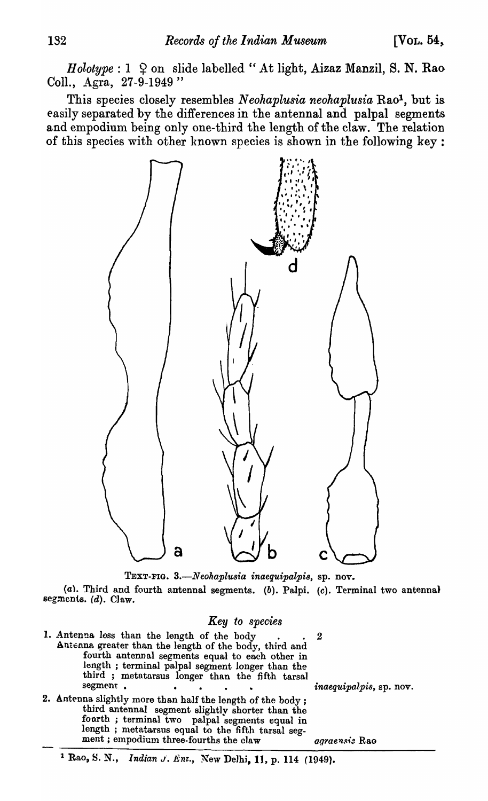$Holype: 1 \triangleq$  on slide labelled "At light, Aizaz Manzil, S. N. Rao Coll., Agra, 27-9-1949"

This species closely resembles *Neohaplusia neohaplusia* Rao1, but is easily separated by the differences in the antennal and palpal segments and empodium being only one-third the length of the claw. The relation of this species with other known species is shown in the following key:



TEXT-FIG. *3.-N eohaplusia inaequipalpi8,* sp. nov.

(a). Third and fourth antennal segments. (b). Palpi. (c). Terminal two antennal segments.  $(d)$ . Claw.

#### Key to species

- 1. Antenna less than the length of the body . . . . 2 Antenna greater than the length of the body, third and fourth antennal segments equal to each other in length ; terminal palpal segment longer than the third ; metatarsus longer than the fifth tarsal segment.
- 2. Antenna slightly more than half the length of the body; third antennal segment slightly shorter than the fonrth ; terminal two palpal segments equal in length; metatarsus equal to the fifth tarsal seg-<br>ment; empodium three-fourths the claw agraensis Rao

segment. • • *inaequipalp'is,* sp. nov.

### <sup>1</sup> Rao, S. N., *Indian J. Ent.*, New Delhi, 11, p. 114 (1949).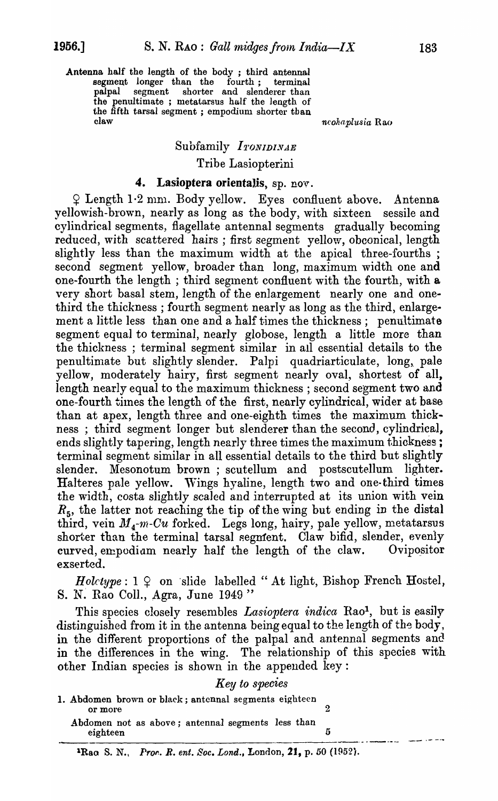Antenna half the length of the body ; third antennal segment longer than the fourth; terminal palpal segment shorter and slenderer than segment shorter and slenderer than the penultimate ; metatarsus half the length of the fifth tarsal segment; empodium shorter than claw  $neohaplusia$  Rao

# Subfamily *ITONIDINAE* Tribe Lasiopterini

### 4. Lasioptera orientalis, sp. nov.

 $\Omega$  Length 1.2 mm. Body yellow. Eyes confluent above. Antenna yellowish-brown, nearly as long as the body, with sixteen sessile and cylindrical segments, flagellate antennal segments gradually becoming reduced, with scattered hairs; first segment yellow, obconical, length slightly less than the maximum width at the apical three-fourths; second segment yellow, broader than long, maximum width one and one-fourth the length; third segment confluent with the fourth, with a very short basal stem, length of the enlargement nearly one and onethird the thickness; fourth segment nearly as long as the third, enlarge· ment a little less than one and a half times the thickness; penultimate segment equal to terminal, nearly globose, length a little more than the thickness; terminal segment similar in all essential details to the penultimate but slightly slender. Palpi quadriarticulate, long, pale yellow, moderately hairy, first segment nearly oval, shortest of all, length nearly equal to the maximum thickness ; second segment two and one-fourth times the length of the first, nearly cylindrical, wider at base than at apex, length three and one-eighth times the maximum thickness; third segment longer but slenderer than the second, cylindrical, ends slightly tapering, length nearly three times the maximum thickness; terminal segment similar in all essential details to the third but slightly slender. Mesonotum brown; scutellum and postscutellum lighter. Halteres pale yellow. Wings hyaline, length two and one-third times the width, costa slightly scaled and interrupted at its union with vein R*5,* the latter not reaching the tip of the wing but ending in the distal third, vein  $M_4$ -m-Cu forked. Legs long, hairy, pale yellow, metatarsus shorter than the terminal tarsal segment. Claw bifid, slender, evenly curved, empediam nearly half the length of the claw. Ovipositor exserted.

*Holctype*:  $1 \nsubseteq \ncong$  slide labelled "At light, Bishop French Hostel, S. N. Rao Coll., Agra, June 1949"

This species closely resembles *Lasioptera indica* Rao<sup>1</sup>, but is easily distinguished from it in the antenna being equal to the length of the body, in the different proportions of the palpal and antennal segments and in the differences in the wing. The relationship of this species with other Indian species is shown in the appended key:

*Key to species* 

1. Abdomen brown or black; antennal segments eighteen or more  $2$ Abdomen not as above; antennal segments less than

eighteen 5 than  $\frac{5}{1}$ 

lRao S. N.\ *Pror.. R. ent. Soc. Lond.,* London, 21, p. 50 (1P52).

یند بن ب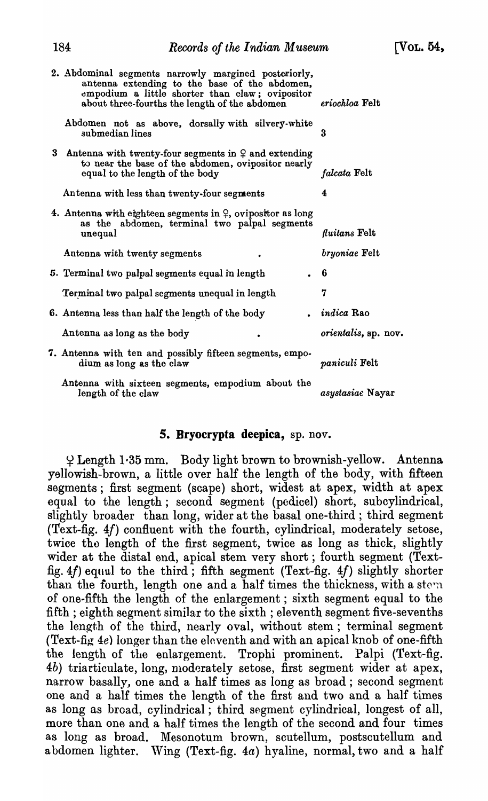| 2. Abdominal segments narrowly margined posteriorly,<br>antenna extending to the base of the abdomen,<br>empodium a little shorter than claw; ovipositor<br>about three-fourths the length of the abdomen | eriochloa Felt       |
|-----------------------------------------------------------------------------------------------------------------------------------------------------------------------------------------------------------|----------------------|
| Abdomen not as above, dorsally with silvery-white<br>submedian lines                                                                                                                                      | 3                    |
| 3 Antenna with twenty-four segments in $\varphi$ and extending<br>to near the base of the abdomen, ovipositor nearly<br>equal to the length of the body                                                   | falcata Felt         |
| Antenna with less than twenty-four segments                                                                                                                                                               | 4                    |
| 4. Antenna with eighteen segments in $\varphi$ , ovipositor as long<br>as the abdomen, terminal two palpal segments<br>unequal                                                                            | fluitans Felt        |
| Autonia with twenty segments                                                                                                                                                                              | <i>bryoniae</i> Felt |
| 5. Terminal two palpal segments equal in length                                                                                                                                                           | -6                   |
| Terminal two palpal segments unequal in length                                                                                                                                                            | 7                    |
| 6. Antenna less than half the length of the body                                                                                                                                                          | $.$ indica Rao       |
| Antenna as long as the body                                                                                                                                                                               | orientalis, sp. nov. |
| 7. Antenna with ten and possibly fifteen segments, empo-<br>dium as long as the claw                                                                                                                      | <i>paniculi</i> Felt |
| Antenna with sixteen segments, empodium about the<br>length of the claw                                                                                                                                   | asystasiae Nayar     |

### 5. Bryocrypta deepica, sp. nov.

 $\frac{1}{2}$  Length 1.35 mm. Body light brown to brownish-yellow. Antenna yellowish-brown, a little over half the length of the body, with fifteen segments; first segment (scape) short, widest at apex, width at apex equal to the length; second segment (pedicel) short, subcylindrical, slightly broader than long, wider at the basal one-third; third segment (Text-fig. *4f)* confluent with the fourth, cylindrical, moderately setose, twice the length of the first segment, twice as long as thick, slightly wider at the distal end, apical stem very short; fourth segment (Textfig.  $4f$ ) equul to the third; fifth segment (Text-fig.  $4f$ ) slightly shorter than the fourth, length one and a half times the thickness, with a stem of one-fifth the length of the enlargement; sixth segment equal to the fifth; eighth segment similar to the sixth; eleventh segment five-sevenths the length of the third, nearly oval, without stem; terminal segment (Text-fig 4e) longer than the eleventh and with an apical knob of one-fifth the length of the enlargement. Trophi prominent. Palpi (Text-fig. 4b) triarticulate, long, moderately setose, first segment wider at apex, narrow basally, one and a half times as long as broad; second segment one and a half times the length of the first and two and a half times as long as broad, cylindrical; third segment cylindrical, longest of all, more than one and a half times the length of the second and four times as long as broad. Mesonotum brown, scutellum, postscutellum and abdomen lighter. Wing (Text-fig.  $4a$ ) hyaline, normal, two and a half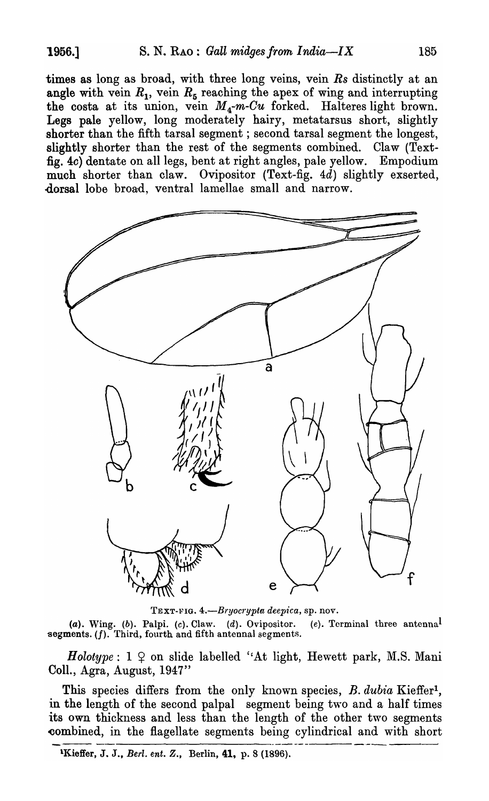times as long as broad, with three long veins, vein *Rs* distinctly at an angle with vein  $R_1$ , vein  $R_5$  reaching the apex of wing and interrupting the costa at its union, vein *M 4-m-Cu* forked. Halteres light brown. Legs pale yellow, long moderately hairy, metatarsus short, slightly shorter than the fifth tarsal segment; second tarsal segment the longest, slightly shorter than the rest of the segments combined. Claw (Textfig. 4c) dentate on all legs, bent at right angles, pale yellow. Empodium much shorter than claw. Ovipositor (Text-fig. 4d) slightly exserted, dorsal lobe broad, ventral lamellae small and narrow.



TEXT-PIG. *4.-Bryoeryptu deep1'ea,* sp. nov.

(a). Wing. (b). Palpi. (c). Claw. (d). Ovipositor. (e). Terminal three antenna<sup>l</sup> segments.  $(f)$ . Third, fourth and fifth antennal segments.

*Holotype*:  $1 \nsubseteq \text{on slide labelled 'At light, Hewett park, M.S. Mani}$ ColI., Agra, August, 1947"

This species differs from the only known species, *B. dubia* Kieffer<sup>1</sup>, in the length of the second palpal segment being two and a half times its own thickness and less than the length of the other two segments combined, in the flagellate segments being cylindrical and with short  $\frac{1}{\sqrt{16}} \frac{1}{\sqrt{16}} \frac{1}{\sqrt{16}} \frac{1}{\sqrt{16}} \frac{1}{\sqrt{16}} \frac{1}{\sqrt{16}} \frac{1}{\sqrt{16}} \frac{1}{\sqrt{16}} \frac{1}{\sqrt{16}} \frac{1}{\sqrt{16}} \frac{1}{\sqrt{16}} \frac{1}{\sqrt{16}} \frac{1}{\sqrt{16}} \frac{1}{\sqrt$ 

lI{ieffer, J. J., *Berl. ent. Z.,* Berlin, 41. p. 8 (1896).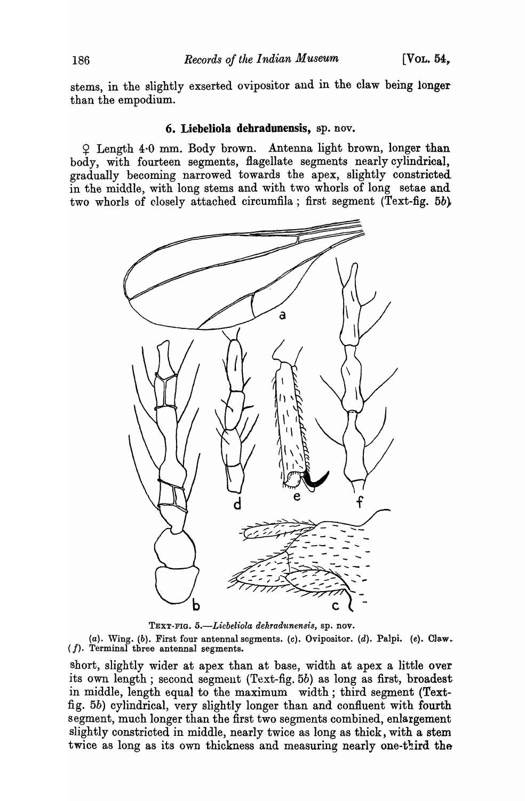stems, in the slightly exserted ovipositor and in the claw being longerthan the empodium.

### 6. Liebeliola dehradunensis, sp. nov.

 $Q$  Length 4.0 mm. Body brown. Antenna light brown, longer than body, with fourteen segments, flagellate segments nearly cylindrical, gradually becoming narrowed towards the apex, slightly constricted in the middle, with long stems and with two whorls of long setae and two whorls of closely attached circumfila; first segment (Text-fig. 5b}



TEXT-FIG. 5.-Liebeliola dehradunensis, sp. nov.

(a). Wing. (b). First four antennal segments. (c). Ovipositor. (d). Palpi. (e). Claw. ( *f).* Terminal three antennal segments.

short, slightly wider at apex than at base, width at apex a little over its own length; second segment (Text-fig.5b) as long as first, broadestin middle, length equal to the maximum width; third segment (Textfig. 5b) cylindrical, very slightly longer than and confluent with fourth segment, much longer than the first two segments combined, enlargement slightly constrioted in middle, nearly twice as long as thick, with a stem twice as long as its own thickness and measuring nearly one-third the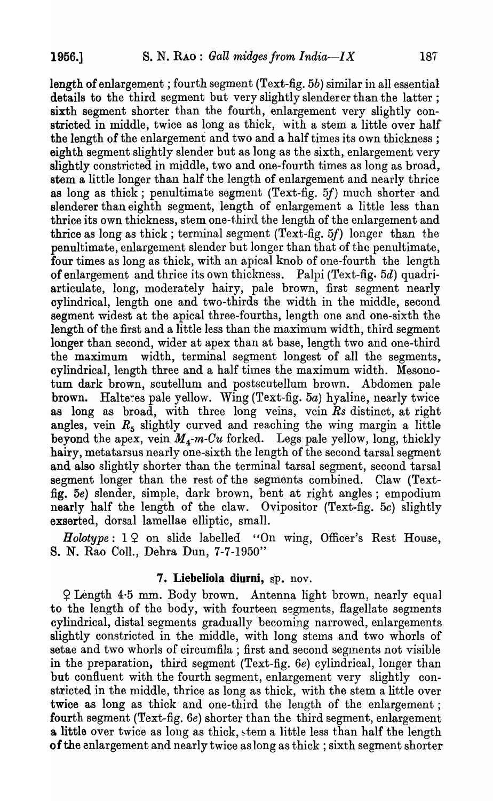length of enlargement; fourth segment (Text-fig. 5b) similar in all essential details to the third segment but very slightly slenderer than the latter; sixth segment shorter than the fourth, enlargement very slightly constricted in middle, twice as long as thick, with a stem a little over half the length of the enlargement and two and a half times its own thickness; eighth segment slightly slender but as long as the sixth, enlargement very slightly constricted in middle, two and one-fourth times as long as broad, stem a little longer than half the length of enlargement and nearly thrice as long as thick; penultimate segment (Text-fig.  $5f$ ) much shorter and slenderer than eighth segment, length of enlargement a little less than thrice its own thickness, stem one-third the length of the enlargement and thrice as long as thick; terminal segment (Text-fig.  $5f$ ) longer than the penultimate, enlargement slender but longer than that of the penultimate, four times as long as thick, with an apical knob of one-fourth the length of enlargement and thrice its own thickness. Palpi (Text-fig. 5d) quadriarticulate, long, moderately hairy, pale brown, first segment nearly cylindrical, length one and two-thirds the width in the middle, second segment widest at the apical three-fourths, length one and one-sixth the length of the first and a little less than the maximum width, third segment longer than second, wider at apex than at base, length two and one-third the maximum width, terminal segment longest of all the segments, cylindrical, length three and a half times the maximum width. Mesonotum dark brown, scutellum and postscutellum brown. Abdomen pale brown. Halteres pale yellow. Wing  $(Text-fig. 5a)$  hyaline, nearly twice as long as broad, with three long veins, vein *Rs* distinct, at right angles, vein  $R_5$  slightly curved and reaching the wing margin a little beyond the apex, vein  $M_{\mu}$ -m-Cu forked. Legs pale yellow, long, thickly hairy, metatarsus nearly one-sixth the length of the second tarsal segment and also slightly shorter than the terminal tarsal segment, second tarsal segment longer than the rest of the segments combined. Claw (Textfig. 5e) slender, simple, dark brown, bent at right angles; empodium nearly half the length of the claw. Ovipositor (Text-fig. 5c) slightly exserted, dorsal lamellae elliptic, small.

*Holotype*:  $1 \Omega$  on slide labelled "On wing, Officer's Rest House, S. N. Rao ColI., Dehra Dun, 7-7-1950"

# 7. Liebeliola diurni, sp. nov.

<sup>~</sup>Length 4·5 mm. Body brown. Antenna light brown, nearly equal to the length of the body, with fourteen segments, flagellate segments cylindrical, distal segments gradually becoming narrowed, enlargements slightly constricted in the middle, with long stems and two whorls of setae and two whorls of circumfila; first and second segments not visible in the preparation, third segment (Text-fig. 6e) cylindrical, longer than but confluent with the fourth segment, enlargement very slightly constricted in the middle, thrice as long as thick, with the stem a little over twice as long as thick and one-third the length of the enlargement; fourth segment (Text-fig. 6e) shorter than the third segment, enlargement a little over twice as long as thick, stem a little less than half the length of the enlargement and nearly twice as long as thick; sixth segment shorter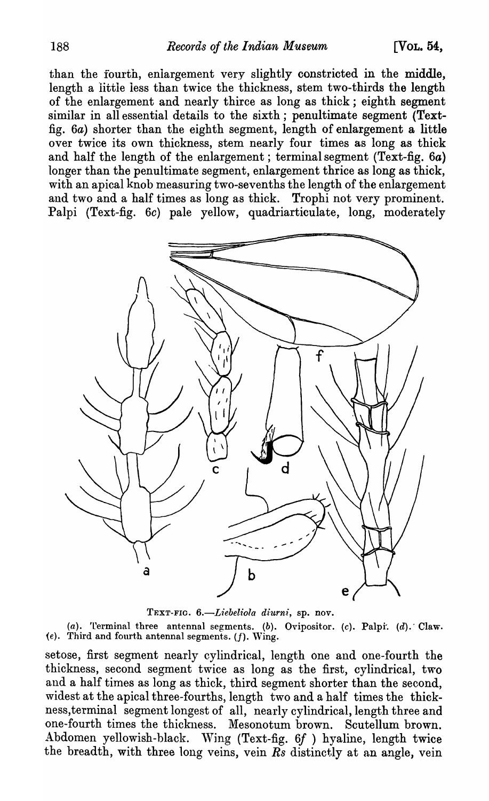than the fourth, enlargement very slightly constricted in the middle, length a littie less than twice the thickness, stem two-thirds the length of the enlargement and nearly thirce as long as thick; eighth segment similar in all essential details to the sixth; penultimate segment (Textfig. 6a) shorter than the eighth segment, length of enlargement a little over twice its own thickness, stem nearly four times as long as thick and half the length of the enlargement; terminal segment (Text-fig. 6a) longer than the penultimate segment, enlargement thrice as long as thick, with an apical knob measuring two-sevenths the length of the enlargement and two and a half times as long as thick. Trophi not very prominent. Palpi (Text-fig. 6c) pale yellow, quadriarticulate, long, moderately



TEXT-FIG. 6.-Liebeliola diurni, sp. nov.

(a). Terminal three antennal segments. (b). Ovipositor. (c). Palpi. (d). Claw.  $(e)$ . Third and fourth antennal segments.  $(f)$ . Wing.

setose, first segment nearly cylindrical, length one and one-fourth the thickness, second segment twice as long as the first, cylindrical, two and a half times as long as thick, third segment shorter than the second, widest at the apical three-fourths, length two and a half times the thickness,terminal segment longest of all, nearly cylindrical, length three and one-fourth times the thickness. Mesonotum brown. Scutellum brown. Abdomen yellowish-black. Wing (Text-fig. 6f ) hyaline, length twice the breadth, with three long veins, vein  $\overline{Rs}$  distinctly at an angle, vein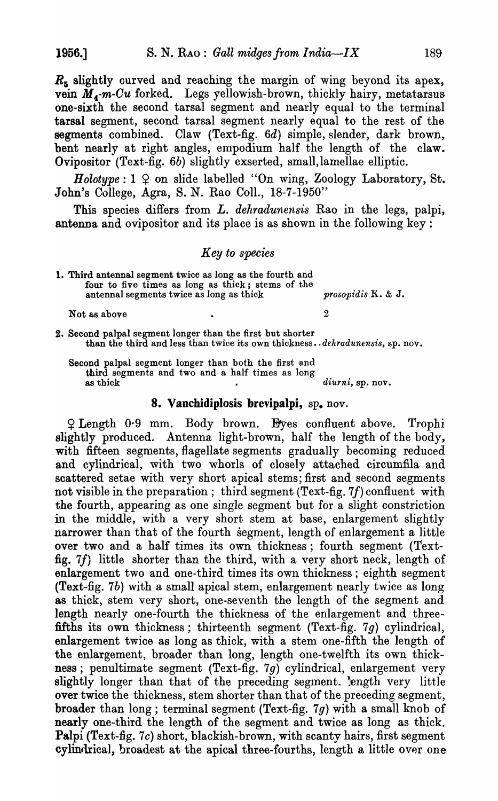*Rs* slightly curved and reaching the margin of wing beyond its apex, vein  $\tilde{M}_4$ -m-Cu forked. Legs yellowish-brown, thickly hairy, metatarsus one-sixth the second tarsal segment and nearly equal to the terminal tarsal segment, second tarsal segment nearly equal to the rest of the segments combined. Claw (Text-fig. *6d)* simple, slender, dark brown, bent nearly at right angles, empodium half the length of the claw. Ovipositor (Text-fig. 6b) slightly exserted, small, lamellae elliptic.

*Holotype*:  $1 \nsubseteq \text{on slide labelled "On wing, Zoology Laboratory, St.}$ John's College, Agra, S. N. Rao Coll., 18-7-1950"

This species differs from *L. dehradunensis* Rao in the legs, palpi, antenna and ovipositor and its place is as shown in the following key:

### *Key to species*

1. Third antennal segment twice as long as the fourth and four to five times as long as thick; stems of the antennal segments twice as long as thick *prosopid'is* K. & J.

Not as above 2008.

2. Second palpal segment ionger than the first but shorter than the third and less than twice its own thickness .. *deltradunensis,* sp. nov.

Second palpal segment longer than both the first and third segments and two and a half times as long as thick  $dirni$ , sp. nov.

# 8. Vanchidiplosis brevipalpi, sp. nov.

 $Q$  Length 0.9 mm. Body brown. Eyes confluent above. Trophi slightly produced. Antenna light-brown, half the length of the body, with fifteen segments, flagellate segments gradually becoming reduced and cylindrical, with two whorls of closely attached circumfila and scattered setae with very short apical stems; first and second segments not visible in the preparation; third segment (Text-fig. 7f) confluent with the fourth, appearing as one single segment but for a slight constriction in the middle, with a very short stem at base, enlargement slightly narrower than that of the fourth segment, length of enlargement a little over two and a half times its own thickness; fourth segment (Textfig. *7f)* little shorter than the third, with a very short neck, length of enlargement two and one-third times its own thickness; eighth segment (Text-fig. 7b) with a small apical stem, enlargement nearly twice as long as thick, stem very short, one-seventh the length of the segment and length nearly one-fourth the thickness of the enlargement and threefifths its own thickness; thirteenth segment (Text-fig. 7g) cylindrical, enlargement twice as long as thick, with a stem one-fifth the length of the enlargement, broader than long, length one-twelfth its own thickness; penultimate segment (Text-fig.  $7g$ ) cylindrical, enlargement very slightly longer than that of the preceding segment. Length very little over twice the thickness, stem shorter than that of the preceding segment, broader than long; terminal segment (Text-fig. 7g) with a small knob of nearly one-third the length of the segment and twice as long as thick. Palpi (Text-fig. 7c) short, blackish-brown, with scanty hairs, first segment cylindrical, broadest at the apical three-fourths, length a little over one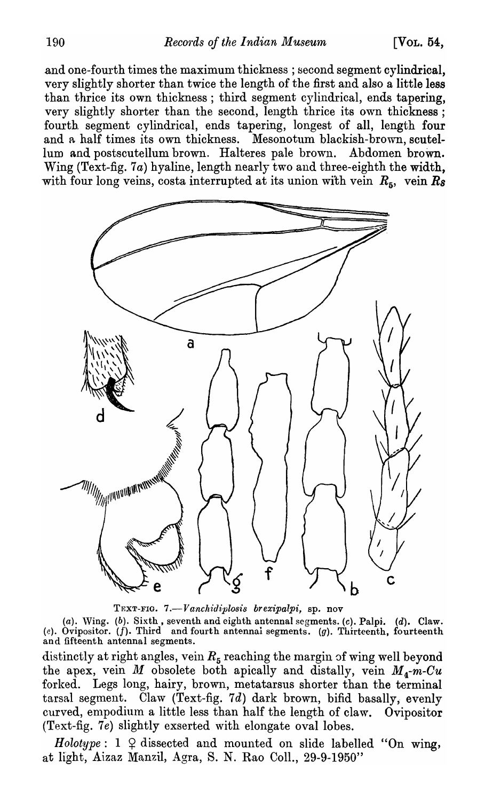and one-fourth times the maximum thickness; second segment cylindrical, very slightly shorter than twice the length of the first and also a little less than thrice its own thickness; third segment cylindrical, ends tapering, very slightly shorter than the second, length thrice its own thickness; fourth. segment cylindrical, ends tapering, longest of all, length four and a half times its own thickness. Mesonotum blackish-brown, scutellum and postscutellum brown. Halteres pale brown. Abdomen brown. Wing (Text-fig. 7a) hyaline, length nearly two and three-eighth the width, with four long veins, costa interrupted at its union with vein  $R_5$ , vein  $R_8$ 



TEXT-FIG. 7.-*Vanchidiplosis brexipalpi*, sp. nov

(a). Wing. (b). Sixth, seventh and eighth antennal segments. (c). Palpi. (d). Claw. (e). Ovipositor. (f). Third and fourth antennai segments. (g). Thirteenth, fourteenth and fifteenth antennal segments.

distinctly at right angles, vein  $R_5$  reaching the margin of wing well beyond the apex, vein *M* obsolete both apically and distally, vein  $M_4$ - $m$ -Cu forked. Legs long, hairy, brown, metatarsus shorter than the terminal tarsal segment. Claw (Text-fig.  $7d$ ) dark brown, bifid basally, evenly curved, empodium a little less than half the length of claw. Ovipositor (Text-fig. 7e) slightly exserted with elongate oval lobes.

*Holotype*:  $1 \nsubseteq$  dissected and mounted on slide labelled "On wing, at light, Aizaz Manzil, Agra, S. N. Rao Coll., 29-9-1950"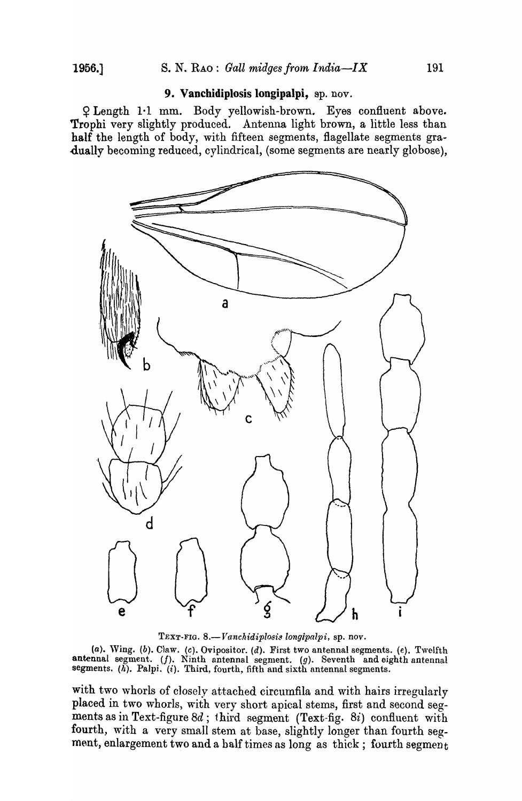### 9. Vanchidiplosis longipalpi, sp. nov.

<sup>~</sup>Length I-I mm. Body yellowish-brown. Eyes confluent above. Trophi very slightly produced. Antenna light brown, a little less than half the length of body, with fifteen segments, flagellate segments gra-dually becoming reduced, cylindrical, (some segments are nearly globose),



TEXT-FIG. 8.-*Vanchidiplosi8 longipalpi,* sp. *nov.* 

(a). Wing. (b). Claw. (c). Ovipositor. (d). First two antennal segments. (e). Twelfth antennal segment. (f). Ninth antennal segment. (g). Seventh and eighth antennal segments.  $(h)$ . Palpi.  $(i)$ . Third, fourth, fifth and sixth antennal segments.

with two whorls of closely attached circumfila and with hairs irregularly placed in two whorls, with very short apical stems, first and second segments as in Text-figure 8d; third segment (Text-fig. 8i) confluent with fourth, with a very small stem at base, slightly longer than fourth segment, enlargement two and a half times as long as thick; fourth segment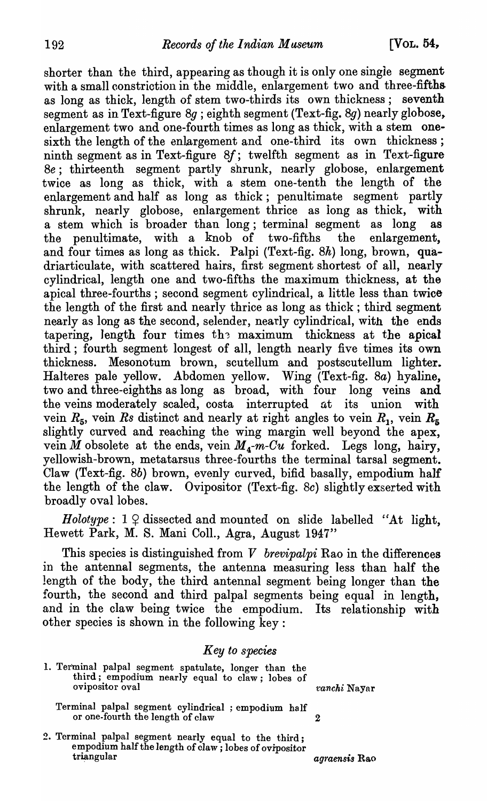shorter than the third, appearing as though it is only one single segment with a small constriction in the middle, enlargement two and three-fifths as long as thick, length of stem two-thirds its own thickness; seventh segment as in Text-figure  $8q$ ; eighth segment (Text-fig.  $8q$ ) nearly globose, enlargement two and one-fourth times as long as thick, with a stem onesixth the length of the enlargement and one-third its own thickness; ninth segment as in Text-figure *8f;* twelfth segment as in Text-figure *8e;* thirteenth segment partly shrunk, nearly globose, enlargement twice as long as thick, with a stem one-tenth the length of the enlargement and half as long as thick; penultimate segment partly shrunk, nearly globose, enlargement thrice as long as thick, with a stem which is broader than long; terminal segment as long as the penultimate, with a knob of two-fifths the enlargement. the penultimate, with a knob of two-fifths the and four times as long as thick. Palpi (Text-fig. 8h) long, brown, quadriarticulate, with scattered hairs, first segment shortest of all, nearly cylindrical, length one and two-fifths the maximum thickness, at the apical three-fourths; second segment cylindrical, a little less than twice the length of the first and nearly thrice as long as thick; third segment nearly as long as the second, selender, nearly cylindrical, with the ends tapering, length four times the maximum thickness at the apical third; fourth segment longest of all, length nearly five times its own thickness. Mesonotum brown, scutellum and postscutellum lighter. Halteres pale yellow. Abdomen yellow. Wing (Text-fig. 8a) hyaline, two and three-eighths as long as broad, with four long veins and the veins moderately scaled, costa interrupted *at* its union with vein  $R_5$ , vein Rs distinct and nearly at right angles to vein  $R_1$ , vein  $R_5$ slightly curved and reaching the wing margin well beyond the apex, vein *M* obsolete at the ends, vein  $M_4$ -m-Cu forked. Legs long, hairy, yellowish-brown, metatarsus three-fourths the terminal tarsal segment. Claw (Text-fig. 8b) brown, evenly curved, bifid basally, empodium half the length of the claw. Ovipositor (Text-fig. Bc) slightly exserted with broadly oval lobes.

*Holotype*:  $1 \nsubseteq$  dissected and mounted on slide labelled "At light, Hewett Park, M. S. Mani ColI., Agra, August 1947"

This species is distinguished from *V brevipalpi* Rao in the differences in the antennal segments, the antenna measuring less than half the length of the body, the third antennal segment being longer than the fourth, the second and third palpal segments being equal in length, and in the claw being twice the empodium. Its relationship with other species is shown in the following key:

## *Key to species*

1. Terminal palpal segment spatulate, longer than the third; empodium nearly equal to claw; lobes of ovipositor oval *'1* and *ranchi* Nayar

- Terminal palpal segment cylindrical; empodium half or one-fourth the length of claw 2
- 2. Terminal palpal segment nearly equal to the third; empodium half the length of claw; lobes of ovipositor<br>triangular *agraensis* Rao